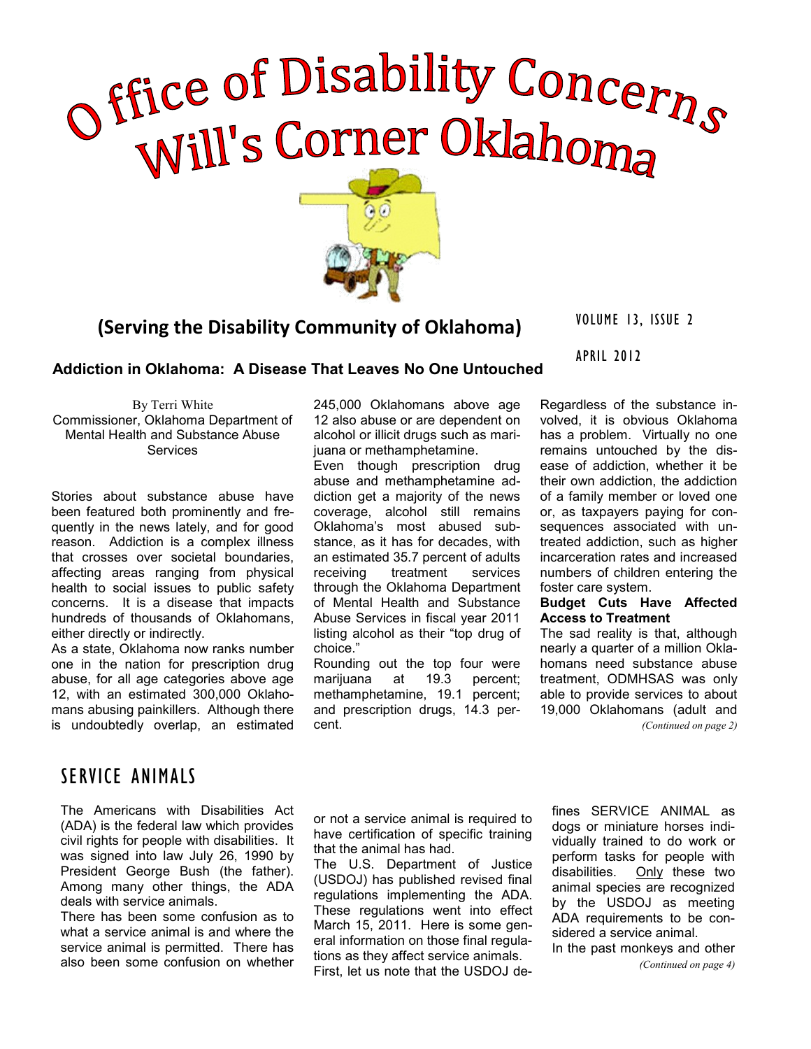# Office of Disability Concerns



# VOLUME 13, ISSUE 2 **(Serving the Disability Community of Oklahoma)**

APRIL 2012

## **Addiction in Oklahoma: A Disease That Leaves No One Untouched**

By Terri White Commissioner, Oklahoma Department of Mental Health and Substance Abuse **Services** 

Stories about substance abuse have been featured both prominently and frequently in the news lately, and for good reason. Addiction is a complex illness that crosses over societal boundaries, affecting areas ranging from physical health to social issues to public safety concerns. It is a disease that impacts hundreds of thousands of Oklahomans, either directly or indirectly.

As a state, Oklahoma now ranks number one in the nation for prescription drug abuse, for all age categories above age 12, with an estimated 300,000 Oklahomans abusing painkillers. Although there is undoubtedly overlap, an estimated

## SERVICE ANIMALS

The Americans with Disabilities Act (ADA) is the federal law which provides civil rights for people with disabilities. It was signed into law July 26, 1990 by President George Bush (the father). Among many other things, the ADA deals with service animals.

There has been some confusion as to what a service animal is and where the service animal is permitted. There has also been some confusion on whether 245,000 Oklahomans above age 12 also abuse or are dependent on alcohol or illicit drugs such as marijuana or methamphetamine.

Even though prescription drug abuse and methamphetamine addiction get a majority of the news coverage, alcohol still remains Oklahoma's most abused substance, as it has for decades, with an estimated 35.7 percent of adults receiving treatment services through the Oklahoma Department of Mental Health and Substance Abuse Services in fiscal year 2011 listing alcohol as their "top drug of choice."

Rounding out the top four were marijuana at 19.3 percent: methamphetamine, 19.1 percent; and prescription drugs, 14.3 percent.

Regardless of the substance involved, it is obvious Oklahoma has a problem. Virtually no one remains untouched by the disease of addiction, whether it be their own addiction, the addiction of a family member or loved one or, as taxpayers paying for consequences associated with untreated addiction, such as higher incarceration rates and increased numbers of children entering the foster care system.

### **Budget Cuts Have Affected Access to Treatment**

The sad reality is that, although nearly a quarter of a million Oklahomans need substance abuse treatment, ODMHSAS was only able to provide services to about 19,000 Oklahomans (adult and

*(Continued on page 2)*

or not a service animal is required to have certification of specific training that the animal has had.

The U.S. Department of Justice (USDOJ) has published revised final regulations implementing the ADA. These regulations went into effect March 15, 2011. Here is some general information on those final regulations as they affect service animals. First, let us note that the USDOJ defines SERVICE ANIMAL as dogs or miniature horses individually trained to do work or perform tasks for people with disabilities. Only these two animal species are recognized by the USDOJ as meeting ADA requirements to be considered a service animal.

In the past monkeys and other *(Continued on page 4)*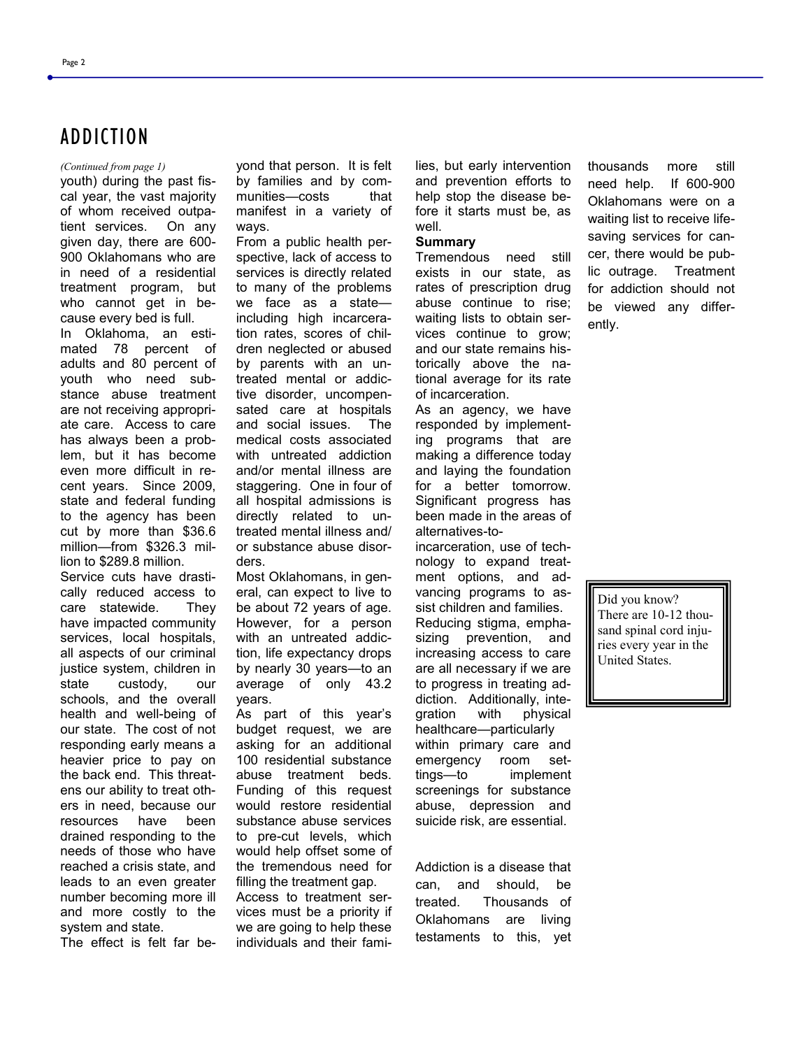Page 2

## ADDICTION

youth) during the past fiscal year, the vast majority of whom received outpatient services. On any given day, there are 600- 900 Oklahomans who are in need of a residential treatment program, but who cannot get in because every bed is full. In Oklahoma, an estimated 78 percent of adults and 80 percent of youth who need substance abuse treatment are not receiving appropriate care. Access to care has always been a problem, but it has become even more difficult in recent years. Since 2009, state and federal funding to the agency has been cut by more than \$36.6 million—from \$326.3 million to \$289.8 million.

Service cuts have drastically reduced access to care statewide. They have impacted community services, local hospitals, all aspects of our criminal justice system, children in state custody, our schools, and the overall health and well-being of our state. The cost of not responding early means a heavier price to pay on the back end. This threatens our ability to treat others in need, because our resources have been drained responding to the needs of those who have reached a crisis state, and leads to an even greater number becoming more ill and more costly to the system and state.

The effect is felt far be-

*(Continued from page 1)* yond that person. It is felt by families and by communities—costs that manifest in a variety of ways.

> From a public health perspective, lack of access to services is directly related to many of the problems we face as a state including high incarceration rates, scores of children neglected or abused by parents with an untreated mental or addictive disorder, uncompensated care at hospitals and social issues. The medical costs associated with untreated addiction and/or mental illness are staggering. One in four of all hospital admissions is directly related to untreated mental illness and/ or substance abuse disorders.

> Most Oklahomans, in general, can expect to live to be about 72 years of age. However, for a person with an untreated addiction, life expectancy drops by nearly 30 years—to an average of only 43.2 years.

> As part of this year's budget request, we are asking for an additional 100 residential substance abuse treatment beds. Funding of this request would restore residential substance abuse services to pre-cut levels, which would help offset some of the tremendous need for filling the treatment gap. Access to treatment services must be a priority if

we are going to help these individuals and their families, but early intervention and prevention efforts to help stop the disease before it starts must be, as well.

#### **Summary**

Tremendous need still exists in our state, as rates of prescription drug abuse continue to rise; waiting lists to obtain services continue to grow; and our state remains historically above the national average for its rate of incarceration.

As an agency, we have responded by implementing programs that are making a difference today and laying the foundation for a better tomorrow. Significant progress has been made in the areas of alternatives-to-

incarceration, use of technology to expand treatment options, and advancing programs to assist children and families. Reducing stigma, emphasizing prevention, and increasing access to care are all necessary if we are to progress in treating addiction. Additionally, integration with physical healthcare—particularly within primary care and emergency room settings—to implement screenings for substance abuse, depression and suicide risk, are essential.

Addiction is a disease that can, and should, be treated. Thousands of Oklahomans are living testaments to this, yet thousands more still need help. If 600-900 Oklahomans were on a waiting list to receive lifesaving services for cancer, there would be public outrage. Treatment for addiction should not be viewed any differently.

Did you know? There are 10-12 thousand spinal cord injuries every year in the United States.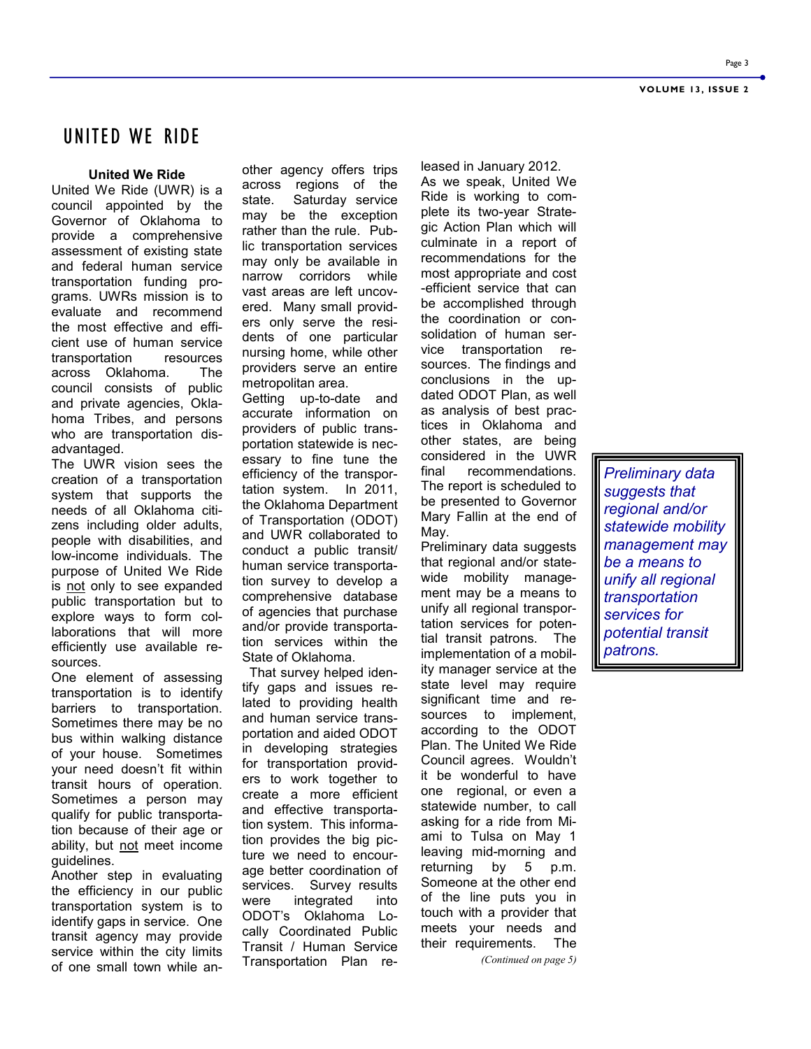## UNITED WE RIDE

#### **United We Ride**

United We Ride (UWR) is a council appointed by the Governor of Oklahoma to provide a comprehensive assessment of existing state and federal human service transportation funding programs. UWRs mission is to evaluate and recommend the most effective and efficient use of human service transportation resources across Oklahoma. The council consists of public and private agencies, Oklahoma Tribes, and persons who are transportation disadvantaged.

The UWR vision sees the creation of a transportation system that supports the needs of all Oklahoma citizens including older adults, people with disabilities, and low-income individuals. The purpose of United We Ride is not only to see expanded public transportation but to explore ways to form collaborations that will more efficiently use available resources.

One element of assessing transportation is to identify barriers to transportation. Sometimes there may be no bus within walking distance of your house. Sometimes your need doesn't fit within transit hours of operation. Sometimes a person may qualify for public transportation because of their age or ability, but not meet income guidelines.

Another step in evaluating the efficiency in our public transportation system is to identify gaps in service. One transit agency may provide service within the city limits of one small town while another agency offers trips across regions of the state. Saturday service may be the exception rather than the rule. Public transportation services may only be available in narrow corridors while vast areas are left uncovered. Many small providers only serve the residents of one particular nursing home, while other providers serve an entire metropolitan area.

Getting up-to-date and accurate information on providers of public transportation statewide is necessary to fine tune the efficiency of the transportation system. In 2011, the Oklahoma Department of Transportation (ODOT) and UWR collaborated to conduct a public transit/ human service transportation survey to develop a comprehensive database of agencies that purchase and/or provide transportation services within the State of Oklahoma.

 That survey helped identify gaps and issues related to providing health and human service transportation and aided ODOT in developing strategies for transportation providers to work together to create a more efficient and effective transportation system. This information provides the big picture we need to encourage better coordination of services. Survey results were integrated into ODOT's Oklahoma Locally Coordinated Public Transit / Human Service Transportation Plan released in January 2012. As we speak, United We Ride is working to complete its two-year Strategic Action Plan which will culminate in a report of recommendations for the most appropriate and cost -efficient service that can be accomplished through the coordination or consolidation of human service transportation resources. The findings and conclusions in the updated ODOT Plan, as well as analysis of best practices in Oklahoma and other states, are being considered in the UWR final recommendations. The report is scheduled to be presented to Governor Mary Fallin at the end of May.

Preliminary data suggests that regional and/or statewide mobility management may be a means to unify all regional transportation services for potential transit patrons. The implementation of a mobility manager service at the state level may require significant time and resources to implement, according to the ODOT Plan. The United We Ride Council agrees. Wouldn't it be wonderful to have one regional, or even a statewide number, to call asking for a ride from Miami to Tulsa on May 1 leaving mid-morning and returning by 5 p.m. Someone at the other end of the line puts you in touch with a provider that meets your needs and their requirements. The

*(Continued on page 5)*

*Preliminary data suggests that regional and/or statewide mobility management may be a means to unify all regional transportation services for potential transit patrons.*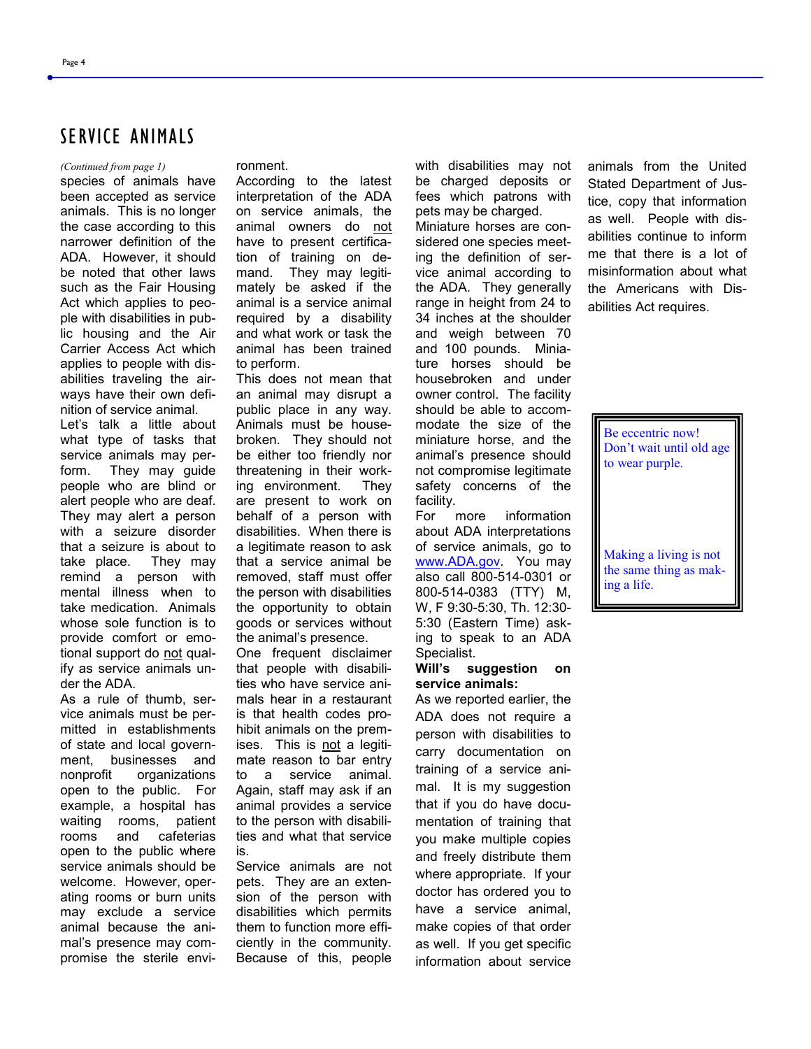## SERVICE ANIMALS

#### *(Continued from page 1)* ronment.

species of animals have been accepted as service animals. This is no longer the case according to this narrower definition of the ADA. However, it should be noted that other laws such as the Fair Housing Act which applies to people with disabilities in public housing and the Air Carrier Access Act which applies to people with disabilities traveling the airways have their own definition of service animal.

Let's talk a little about what type of tasks that service animals may perform. They may guide people who are blind or alert people who are deaf. They may alert a person with a seizure disorder that a seizure is about to take place. They may remind a person with mental illness when to take medication. Animals whose sole function is to provide comfort or emotional support do not qualify as service animals under the ADA.

As a rule of thumb, service animals must be permitted in establishments of state and local government, businesses and nonprofit organizations open to the public. For example, a hospital has waiting rooms, patient rooms and cafeterias open to the public where service animals should be welcome. However, operating rooms or burn units may exclude a service animal because the animal's presence may compromise the sterile envi-

According to the latest interpretation of the ADA on service animals, the animal owners do not have to present certification of training on demand. They may legitimately be asked if the animal is a service animal required by a disability and what work or task the animal has been trained to perform.

This does not mean that an animal may disrupt a public place in any way. Animals must be housebroken. They should not be either too friendly nor threatening in their working environment. They are present to work on behalf of a person with disabilities. When there is a legitimate reason to ask that a service animal be removed, staff must offer the person with disabilities the opportunity to obtain goods or services without the animal's presence.

One frequent disclaimer that people with disabilities who have service animals hear in a restaurant is that health codes prohibit animals on the premises. This is not a legitimate reason to bar entry to a service animal. Again, staff may ask if an animal provides a service to the person with disabilities and what that service is.

Service animals are not pets. They are an extension of the person with disabilities which permits them to function more efficiently in the community. Because of this, people

with disabilities may not be charged deposits or fees which patrons with pets may be charged.

Miniature horses are considered one species meeting the definition of service animal according to the ADA. They generally range in height from 24 to 34 inches at the shoulder and weigh between 70 and 100 pounds. Miniature horses should be housebroken and under owner control. The facility should be able to accommodate the size of the miniature horse, and the animal's presence should not compromise legitimate safety concerns of the facility.

For more information about ADA interpretations of service animals, go to [www.ADA.gov.](http://www.ADA.gov) You may also call 800-514-0301 or 800-514-0383 (TTY) M, W, F 9:30-5:30, Th. 12:30- 5:30 (Eastern Time) asking to speak to an ADA Specialist.

#### **Will's suggestion on service animals:**

As we reported earlier, the ADA does not require a person with disabilities to carry documentation on training of a service animal. It is my suggestion that if you do have documentation of training that you make multiple copies and freely distribute them where appropriate. If your doctor has ordered you to have a service animal, make copies of that order as well. If you get specific information about service

animals from the United Stated Department of Justice, copy that information as well. People with disabilities continue to inform me that there is a lot of misinformation about what the Americans with Disabilities Act requires.

Be eccentric now! Don't wait until old age to wear purple.

Making a living is not the same thing as making a life.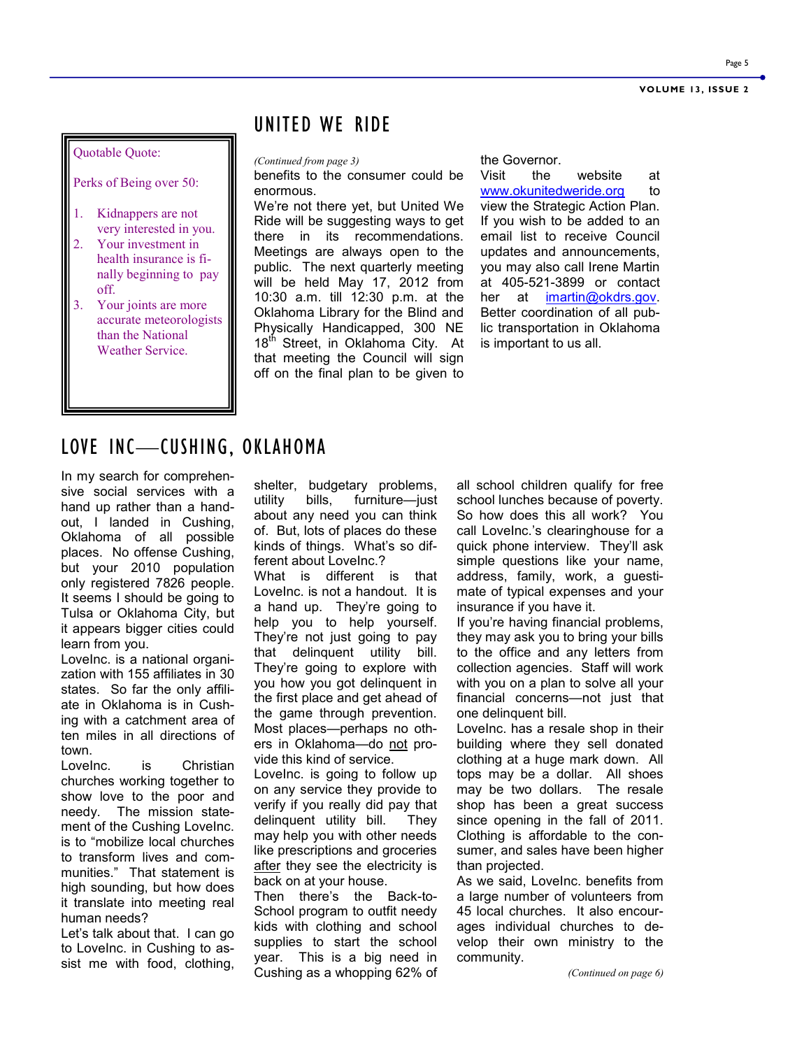#### Quotable Quote:

Perks of Being over 50:

- 1. Kidnappers are not very interested in you.
- 2. Your investment in health insurance is finally beginning to pay off.
- 3. Your joints are more accurate meteorologists than the National Weather Service.

## UNITED WE RIDE

*(Continued from page 3)* the Governor.

benefits to the consumer could be enormous.

We're not there yet, but United We Ride will be suggesting ways to get there in its recommendations. Meetings are always open to the public. The next quarterly meeting will be held May 17, 2012 from 10:30 a.m. till 12:30 p.m. at the Oklahoma Library for the Blind and Physically Handicapped, 300 NE 18<sup>th</sup> Street, in Oklahoma City. At that meeting the Council will sign off on the final plan to be given to

Visit the website at [www.okunitedweride.org](http://www.okunitedweride.org) to view the Strategic Action Plan. If you wish to be added to an email list to receive Council updates and announcements, you may also call Irene Martin at 405-521-3899 or contact her at imartin@okdrs.gov. Better coordination of all public transportation in Oklahoma is important to us all.

## LOVE INC—CUSHING, OKLAHOMA

In my search for comprehensive social services with a hand up rather than a handout, I landed in Cushing, Oklahoma of all possible places. No offense Cushing, but your 2010 population only registered 7826 people. It seems I should be going to Tulsa or Oklahoma City, but it appears bigger cities could learn from you.

LoveInc. is a national organization with 155 affiliates in 30 states. So far the only affiliate in Oklahoma is in Cushing with a catchment area of ten miles in all directions of town.

LoveInc. is Christian churches working together to show love to the poor and needy. The mission statement of the Cushing LoveInc. is to "mobilize local churches to transform lives and communities." That statement is high sounding, but how does it translate into meeting real human needs?

Let's talk about that. I can go to LoveInc. in Cushing to assist me with food, clothing, shelter, budgetary problems, utility bills, furniture—just about any need you can think of. But, lots of places do these kinds of things. What's so different about LoveInc.?

What is different is that LoveInc. is not a handout. It is a hand up. They're going to help you to help yourself. They're not just going to pay that delinquent utility bill. They're going to explore with you how you got delinquent in the first place and get ahead of the game through prevention. Most places—perhaps no others in Oklahoma—do not provide this kind of service.

LoveInc. is going to follow up on any service they provide to verify if you really did pay that delinquent utility bill. They may help you with other needs like prescriptions and groceries after they see the electricity is back on at your house.

Then there's the Back-to-School program to outfit needy kids with clothing and school supplies to start the school year. This is a big need in Cushing as a whopping 62% of

all school children qualify for free school lunches because of poverty. So how does this all work? You call LoveInc.'s clearinghouse for a quick phone interview. They'll ask simple questions like your name, address, family, work, a guestimate of typical expenses and your insurance if you have it.

If you're having financial problems, they may ask you to bring your bills to the office and any letters from collection agencies. Staff will work with you on a plan to solve all your financial concerns—not just that one delinquent bill.

LoveInc. has a resale shop in their building where they sell donated clothing at a huge mark down. All tops may be a dollar. All shoes may be two dollars. The resale shop has been a great success since opening in the fall of 2011. Clothing is affordable to the consumer, and sales have been higher than projected.

As we said, LoveInc. benefits from a large number of volunteers from 45 local churches. It also encourages individual churches to develop their own ministry to the community.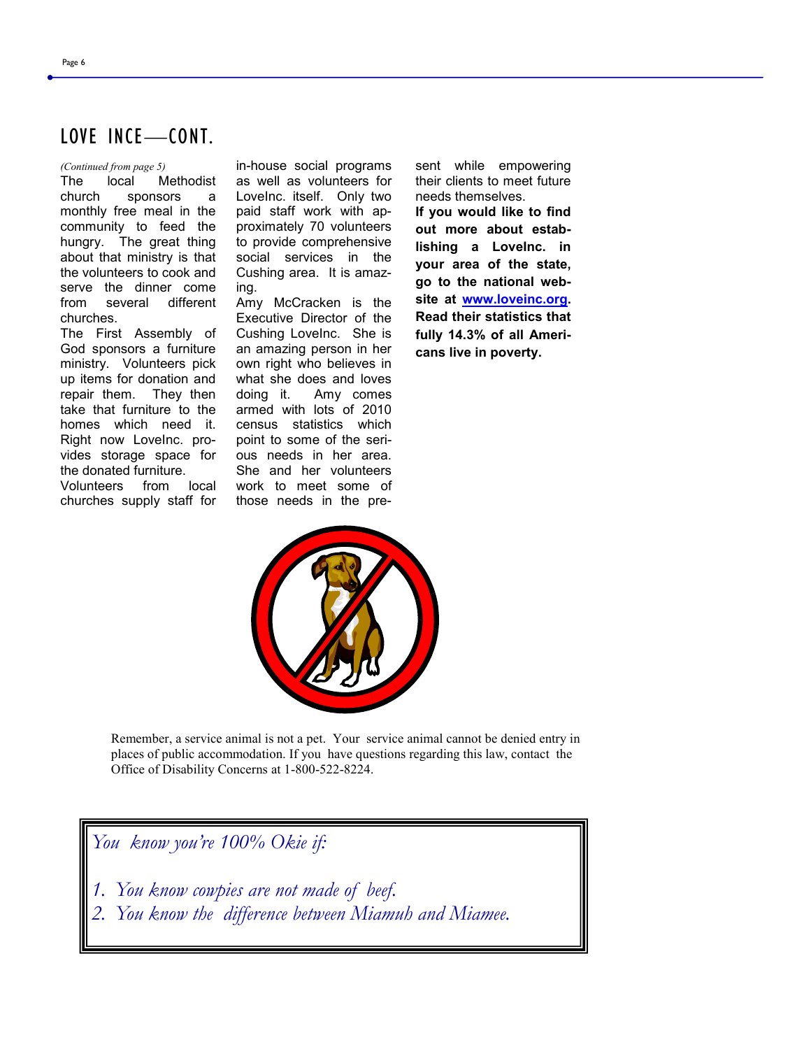## LOVE INCE—CONT.

The local Methodist church sponsors a monthly free meal in the community to feed the hungry. The great thing about that ministry is that the volunteers to cook and serve the dinner come from several different churches.

The First Assembly of God sponsors a furniture ministry. Volunteers pick up items for donation and repair them. They then take that furniture to the homes which need it. Right now LoveInc. provides storage space for the donated furniture. Volunteers from local churches supply staff for

*(Continued from page 5)* in-house social programs as well as volunteers for LoveInc. itself. Only two paid staff work with approximately 70 volunteers to provide comprehensive social services in the Cushing area. It is amazing.

> Amy McCracken is the Executive Director of the Cushing LoveInc. She is an amazing person in her own right who believes in what she does and loves doing it. Amy comes armed with lots of 2010 census statistics which point to some of the serious needs in her area. She and her volunteers work to meet some of those needs in the pre-

sent while empowering their clients to meet future needs themselves. **If you would like to find out more about establishing a LoveInc. in your area of the state, go to the national website at [www.loveinc.org.](http://www.loveinc.org) Read their statistics that fully 14.3% of all Americans live in poverty.**



Remember, a service animal is not a pet. Your service animal cannot be denied entry in places of public accommodation. If you have questions regarding this law, contact the Office of Disability Concerns at 1-800-522-8224.

*You know you're 100% Okie if:*

- *1. You know cowpies are not made of beef.*
- *2. You know the difference between Miamuh and Miamee.*